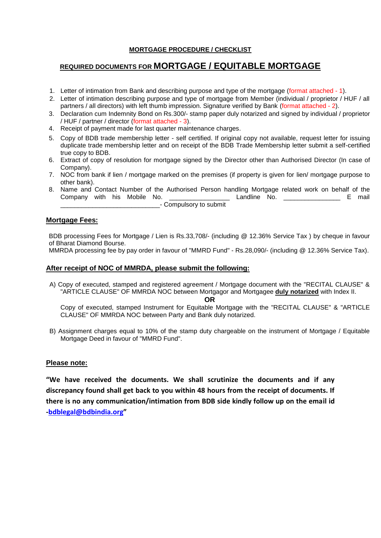## **MORTGAGE PROCEDURE / CHECKLIST**

# **REQUIRED DOCUMENTS FOR MORTGAGE / EQUITABLE MORTGAGE**

- 1. Letter of intimation from Bank and describing purpose and type of the mortgage (format attached 1).
- 2. Letter of intimation describing purpose and type of mortgage from Member (individual / proprietor / HUF / all partners / all directors) with left thumb impression. Signature verified by Bank (format attached - 2).
- 3. Declaration cum Indemnity Bond on Rs.300/- stamp paper duly notarized and signed by individual / proprietor / HUF / partner / director (format attached - 3).
- 4. Receipt of payment made for last quarter maintenance charges.
- 5. Copy of BDB trade membership letter self certified. If original copy not available, request letter for issuing duplicate trade membership letter and on receipt of the BDB Trade Membership letter submit a self-certified true copy to BDB.
- 6. Extract of copy of resolution for mortgage signed by the Director other than Authorised Director (In case of Company).
- 7. NOC from bank if lien / mortgage marked on the premises (if property is given for lien/ mortgage purpose to other bank).
- 8. Name and Contact Number of the Authorised Person handling Mortgage related work on behalf of the Company with his Mobile No. \_\_\_\_\_\_\_\_\_\_\_\_\_\_\_\_\_ Landline No. \_\_\_\_\_\_\_\_\_\_\_\_\_\_\_\_ E mail \_\_\_\_\_\_\_\_\_\_\_\_\_\_\_\_\_\_\_\_\_\_\_\_\_\_\_\_- Compulsory to submit

## **Mortgage Fees:**

BDB processing Fees for Mortgage / Lien is Rs.33,708/- (including @ 12.36% Service Tax ) by cheque in favour of Bharat Diamond Bourse.

MMRDA processing fee by pay order in favour of "MMRD Fund" - Rs.28,090/- (including @ 12.36% Service Tax).

#### **After receipt of NOC of MMRDA, please submit the following:**

A) Copy of executed, stamped and registered agreement / Mortgage document with the "RECITAL CLAUSE" & "ARTICLE CLAUSE" OF MMRDA NOC between Mortgagor and Mortgagee **duly notarized** with Index II.

**OR**

Copy of executed, stamped Instrument for Equitable Mortgage with the "RECITAL CLAUSE" & "ARTICLE CLAUSE" OF MMRDA NOC between Party and Bank duly notarized.

B) Assignment charges equal to 10% of the stamp duty chargeable on the instrument of Mortgage / Equitable Mortgage Deed in favour of "MMRD Fund".

#### **Please note:**

**"We have received the documents. We shall scrutinize the documents and if any discrepancy found shall get back to you within 48 hours from the receipt of documents. If there is no any communication/intimation from BDB side kindly follow up on the email id [-bdblegal@bdbindia.org](mailto:bdblegal@bdbindia.org)"**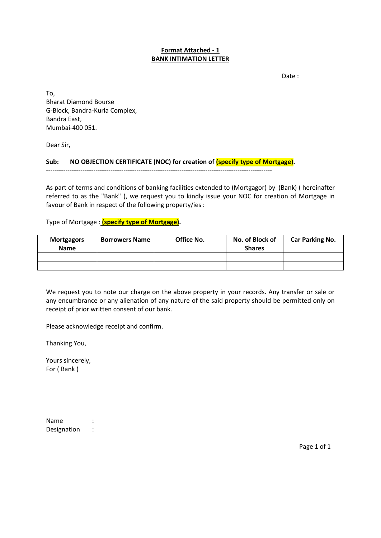#### **Format Attached - 1 BANK INTIMATION LETTER**

Date :

To, Bharat Diamond Bourse G-Block, Bandra-Kurla Complex, Bandra East, Mumbai-400 051.

Dear Sir,

#### **Sub: NO OBJECTION CERTIFICATE (NOC) for creation of (specify type of Mortgage).**

---------------------------------------------------------------------------------------------------------

As part of terms and conditions of banking facilities extended to (Mortgagor) by (Bank) ( hereinafter referred to as the "Bank" ), we request you to kindly issue your NOC for creation of Mortgage in favour of Bank in respect of the following property/ies :

Type of Mortgage : **(specify type of Mortgage).**

| <b>Mortgagors</b><br><b>Name</b> | <b>Borrowers Name</b> | <b>Office No.</b> | No. of Block of<br><b>Shares</b> | <b>Car Parking No.</b> |
|----------------------------------|-----------------------|-------------------|----------------------------------|------------------------|
|                                  |                       |                   |                                  |                        |
|                                  |                       |                   |                                  |                        |

We request you to note our charge on the above property in your records. Any transfer or sale or any encumbrance or any alienation of any nature of the said property should be permitted only on receipt of prior written consent of our bank.

Please acknowledge receipt and confirm.

Thanking You,

Yours sincerely, For ( Bank )

Name : Designation :

Page 1 of 1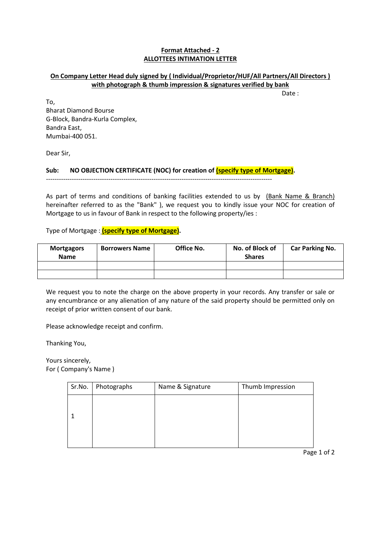#### **Format Attached - 2 ALLOTTEES INTIMATION LETTER**

## **On Company Letter Head duly signed by ( Individual/Proprietor/HUF/All Partners/All Directors ) with photograph & thumb impression & signatures verified by bank**

Date :

To, Bharat Diamond Bourse G-Block, Bandra-Kurla Complex, Bandra East, Mumbai-400 051.

Dear Sir,

Sub: NO OBJECTION CERTIFICATE (NOC) for creation of **(specify type of Mortgage)**.

---------------------------------------------------------------------------------------------------------

As part of terms and conditions of banking facilities extended to us by (Bank Name & Branch) hereinafter referred to as the "Bank" ), we request you to kindly issue your NOC for creation of Mortgage to us in favour of Bank in respect to the following property/ies :

Type of Mortgage : **(specify type of Mortgage).**

| <b>Mortgagors</b><br><b>Name</b> | <b>Borrowers Name</b> | Office No. | No. of Block of<br><b>Shares</b> | <b>Car Parking No.</b> |
|----------------------------------|-----------------------|------------|----------------------------------|------------------------|
|                                  |                       |            |                                  |                        |
|                                  |                       |            |                                  |                        |

We request you to note the charge on the above property in your records. Any transfer or sale or any encumbrance or any alienation of any nature of the said property should be permitted only on receipt of prior written consent of our bank.

Please acknowledge receipt and confirm.

Thanking You,

Yours sincerely, For ( Company's Name )

| Sr.No. | Photographs | Name & Signature | Thumb Impression |
|--------|-------------|------------------|------------------|
|        |             |                  |                  |
|        |             |                  |                  |
|        |             |                  |                  |
|        |             |                  |                  |
|        |             |                  |                  |

Page 1 of 2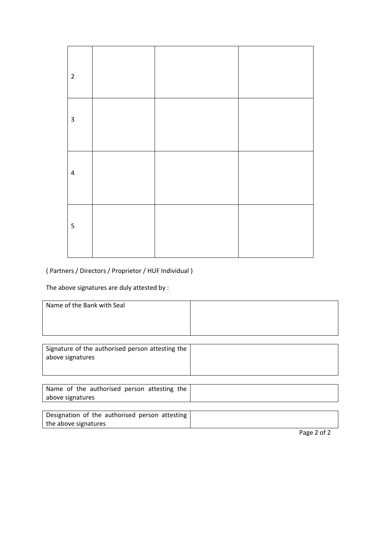| $\overline{2}$ |  |  |
|----------------|--|--|
| $\mathbf{3}$   |  |  |
| $\pmb{4}$      |  |  |
| $\sf 5$        |  |  |

# ( Partners / Directors / Proprietor / HUF Individual )

The above signatures are duly attested by :

| Name of the Bank with Seal |  |
|----------------------------|--|
|                            |  |
|                            |  |
|                            |  |

| Signature of the authorised person attesting the |  |
|--------------------------------------------------|--|
| above signatures                                 |  |
|                                                  |  |

| Name of the authorised person attesting the |  |
|---------------------------------------------|--|
| above signatures                            |  |
|                                             |  |

| Designation of the authorised person attesting |  |
|------------------------------------------------|--|
| the above signatures                           |  |

Page 2 of 2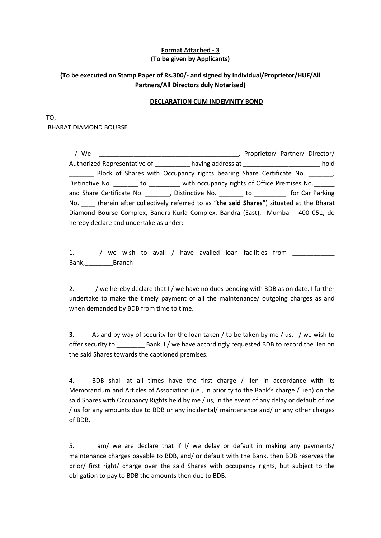#### **Format Attached - 3 (To be given by Applicants)**

# **(To be executed on Stamp Paper of Rs.300/- and signed by Individual/Proprietor/HUF/All Partners/All Directors duly Notarised)**

#### **DECLARATION CUM INDEMNITY BOND**

## TO, BHARAT DIAMOND BOURSE

| I / We                                                                                        | <u>and the contract of the contract of the contract of the contract of the contract of the contract of the contract of the contract of the contract of the contract of the contract of the contract of the contract of the contr</u> | Proprietor/ Partner/ Director/ |  |
|-----------------------------------------------------------------------------------------------|--------------------------------------------------------------------------------------------------------------------------------------------------------------------------------------------------------------------------------------|--------------------------------|--|
| Authorized Representative of ___________ having address at _______________________ hold       |                                                                                                                                                                                                                                      |                                |  |
| $\overline{\phantom{a}}$                                                                      | Block of Shares with Occupancy rights bearing Share Certificate No. _______                                                                                                                                                          |                                |  |
| Distinctive No. _______ to ________ with occupancy rights of Office Premises No. ______       |                                                                                                                                                                                                                                      |                                |  |
| and Share Certificate No. _______, Distinctive No. _______ to ________ for Car Parking        |                                                                                                                                                                                                                                      |                                |  |
| No. _____ (herein after collectively referred to as "the said Shares") situated at the Bharat |                                                                                                                                                                                                                                      |                                |  |
| Diamond Bourse Complex, Bandra-Kurla Complex, Bandra (East), Mumbai - 400 051, do             |                                                                                                                                                                                                                                      |                                |  |
| hereby declare and undertake as under:-                                                       |                                                                                                                                                                                                                                      |                                |  |

1. I / we wish to avail / have availed loan facilities from Bank,\_\_\_\_\_\_\_\_Branch

2. I / we hereby declare that I / we have no dues pending with BDB as on date. I further undertake to make the timely payment of all the maintenance/ outgoing charges as and when demanded by BDB from time to time.

**3.** As and by way of security for the loan taken / to be taken by me / us, I / we wish to offer security to \_\_\_\_\_\_\_\_ Bank. I / we have accordingly requested BDB to record the lien on the said Shares towards the captioned premises.

4. BDB shall at all times have the first charge / lien in accordance with its Memorandum and Articles of Association (i.e., in priority to the Bank's charge / lien) on the said Shares with Occupancy Rights held by me / us, in the event of any delay or default of me / us for any amounts due to BDB or any incidental/ maintenance and/ or any other charges of BDB.

5. I am/ we are declare that if I/ we delay or default in making any payments/ maintenance charges payable to BDB, and/ or default with the Bank, then BDB reserves the prior/ first right/ charge over the said Shares with occupancy rights, but subject to the obligation to pay to BDB the amounts then due to BDB.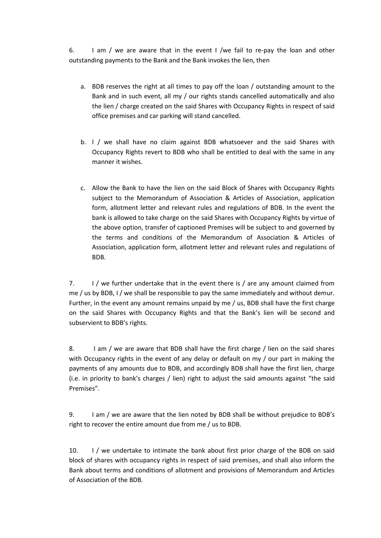6. I am / we are aware that in the event I /we fail to re-pay the loan and other outstanding payments to the Bank and the Bank invokes the lien, then

- a. BDB reserves the right at all times to pay off the loan / outstanding amount to the Bank and in such event, all my / our rights stands cancelled automatically and also the lien / charge created on the said Shares with Occupancy Rights in respect of said office premises and car parking will stand cancelled.
- b. I / we shall have no claim against BDB whatsoever and the said Shares with Occupancy Rights revert to BDB who shall be entitled to deal with the same in any manner it wishes.
- c. Allow the Bank to have the lien on the said Block of Shares with Occupancy Rights subject to the Memorandum of Association & Articles of Association, application form, allotment letter and relevant rules and regulations of BDB. In the event the bank is allowed to take charge on the said Shares with Occupancy Rights by virtue of the above option, transfer of captioned Premises will be subject to and governed by the terms and conditions of the Memorandum of Association & Articles of Association, application form, allotment letter and relevant rules and regulations of BDB.

7. I / we further undertake that in the event there is / are any amount claimed from me / us by BDB, I / we shall be responsible to pay the same immediately and without demur. Further, in the event any amount remains unpaid by me / us, BDB shall have the first charge on the said Shares with Occupancy Rights and that the Bank's lien will be second and subservient to BDB's rights.

8. I am / we are aware that BDB shall have the first charge / lien on the said shares with Occupancy rights in the event of any delay or default on my / our part in making the payments of any amounts due to BDB, and accordingly BDB shall have the first lien, charge (i.e. in priority to bank's charges / lien) right to adjust the said amounts against "the said Premises".

9. I am / we are aware that the lien noted by BDB shall be without prejudice to BDB's right to recover the entire amount due from me / us to BDB.

10. I / we undertake to intimate the bank about first prior charge of the BDB on said block of shares with occupancy rights in respect of said premises, and shall also inform the Bank about terms and conditions of allotment and provisions of Memorandum and Articles of Association of the BDB.